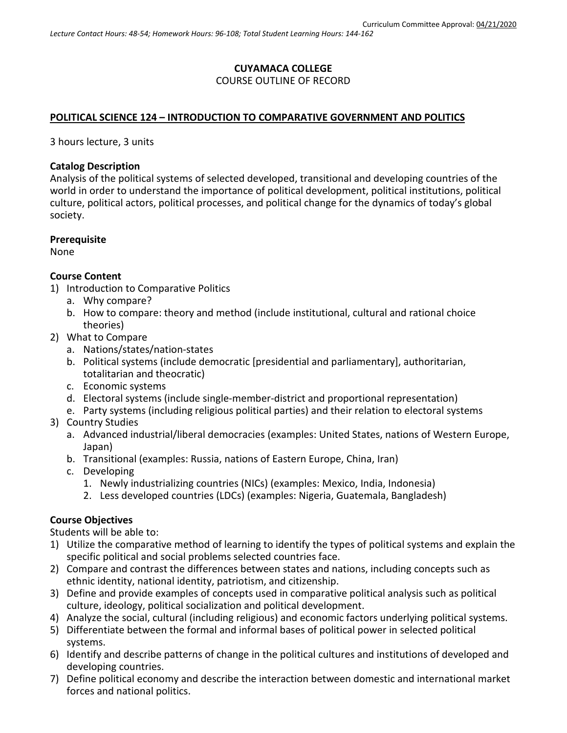# **CUYAMACA COLLEGE** COURSE OUTLINE OF RECORD

## **POLITICAL SCIENCE 124 – INTRODUCTION TO COMPARATIVE GOVERNMENT AND POLITICS**

3 hours lecture, 3 units

#### **Catalog Description**

Analysis of the political systems of selected developed, transitional and developing countries of the world in order to understand the importance of political development, political institutions, political culture, political actors, political processes, and political change for the dynamics of today's global society.

#### **Prerequisite**

None

#### **Course Content**

- 1) Introduction to Comparative Politics
	- a. Why compare?
	- b. How to compare: theory and method (include institutional, cultural and rational choice theories)
- 2) What to Compare
	- a. Nations/states/nation-states
	- b. Political systems (include democratic [presidential and parliamentary], authoritarian, totalitarian and theocratic)
	- c. Economic systems
	- d. Electoral systems (include single-member-district and proportional representation)
	- e. Party systems (including religious political parties) and their relation to electoral systems
- 3) Country Studies
	- a. Advanced industrial/liberal democracies (examples: United States, nations of Western Europe, Japan)
	- b. Transitional (examples: Russia, nations of Eastern Europe, China, Iran)
	- c. Developing
		- 1. Newly industrializing countries (NICs) (examples: Mexico, India, Indonesia)
		- 2. Less developed countries (LDCs) (examples: Nigeria, Guatemala, Bangladesh)

#### **Course Objectives**

Students will be able to:

- 1) Utilize the comparative method of learning to identify the types of political systems and explain the specific political and social problems selected countries face.
- 2) Compare and contrast the differences between states and nations, including concepts such as ethnic identity, national identity, patriotism, and citizenship.
- 3) Define and provide examples of concepts used in comparative political analysis such as political culture, ideology, political socialization and political development.
- 4) Analyze the social, cultural (including religious) and economic factors underlying political systems.
- 5) Differentiate between the formal and informal bases of political power in selected political systems.
- 6) Identify and describe patterns of change in the political cultures and institutions of developed and developing countries.
- 7) Define political economy and describe the interaction between domestic and international market forces and national politics.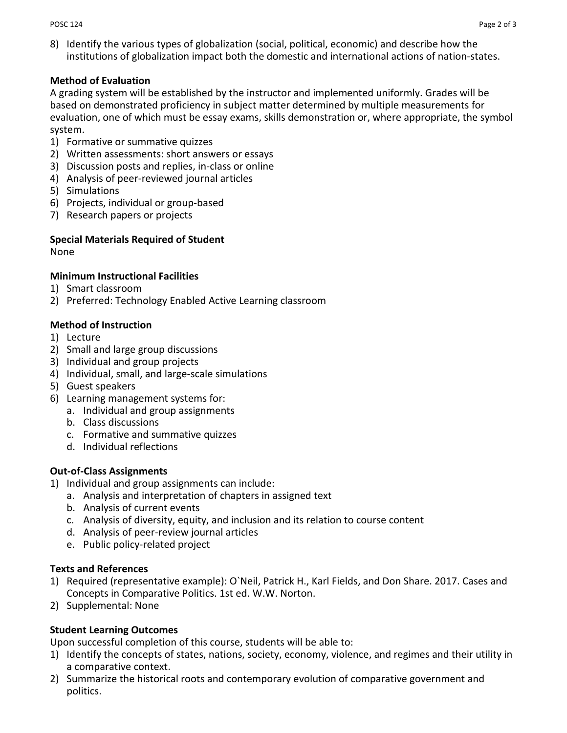8) Identify the various types of globalization (social, political, economic) and describe how the institutions of globalization impact both the domestic and international actions of nation-states.

## **Method of Evaluation**

A grading system will be established by the instructor and implemented uniformly. Grades will be based on demonstrated proficiency in subject matter determined by multiple measurements for evaluation, one of which must be essay exams, skills demonstration or, where appropriate, the symbol system.

- 1) Formative or summative quizzes
- 2) Written assessments: short answers or essays
- 3) Discussion posts and replies, in-class or online
- 4) Analysis of peer-reviewed journal articles
- 5) Simulations
- 6) Projects, individual or group-based
- 7) Research papers or projects

# **Special Materials Required of Student**

None

# **Minimum Instructional Facilities**

- 1) Smart classroom
- 2) Preferred: Technology Enabled Active Learning classroom

## **Method of Instruction**

- 1) Lecture
- 2) Small and large group discussions
- 3) Individual and group projects
- 4) Individual, small, and large-scale simulations
- 5) Guest speakers
- 6) Learning management systems for:
	- a. Individual and group assignments
	- b. Class discussions
	- c. Formative and summative quizzes
	- d. Individual reflections

# **Out-of-Class Assignments**

- 1) Individual and group assignments can include:
	- a. Analysis and interpretation of chapters in assigned text
	- b. Analysis of current events
	- c. Analysis of diversity, equity, and inclusion and its relation to course content
	- d. Analysis of peer-review journal articles
	- e. Public policy-related project

#### **Texts and References**

- 1) Required (representative example): O`Neil, Patrick H., Karl Fields, and Don Share. 2017. Cases and Concepts in Comparative Politics. 1st ed. W.W. Norton.
- 2) Supplemental: None

# **Student Learning Outcomes**

Upon successful completion of this course, students will be able to:

- 1) Identify the concepts of states, nations, society, economy, violence, and regimes and their utility in a comparative context.
- 2) Summarize the historical roots and contemporary evolution of comparative government and politics.